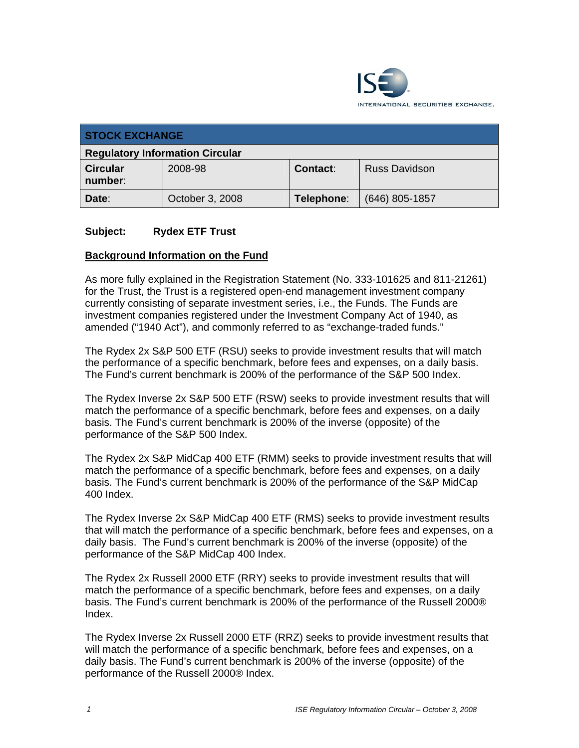

| <b>STOCK EXCHANGE</b>                  |                 |            |                      |
|----------------------------------------|-----------------|------------|----------------------|
| <b>Regulatory Information Circular</b> |                 |            |                      |
| <b>Circular</b><br>number:             | 2008-98         | Contact:   | <b>Russ Davidson</b> |
| Date:                                  | October 3, 2008 | Telephone: | (646) 805-1857       |

### **Subject: Rydex ETF Trust**

#### **Background Information on the Fund**

As more fully explained in the Registration Statement (No. 333-101625 and 811-21261) for the Trust, the Trust is a registered open-end management investment company currently consisting of separate investment series, i.e., the Funds. The Funds are investment companies registered under the Investment Company Act of 1940, as amended ("1940 Act"), and commonly referred to as "exchange-traded funds."

The Rydex 2x S&P 500 ETF (RSU) seeks to provide investment results that will match the performance of a specific benchmark, before fees and expenses, on a daily basis. The Fund's current benchmark is 200% of the performance of the S&P 500 Index.

The Rydex Inverse 2x S&P 500 ETF (RSW) seeks to provide investment results that will match the performance of a specific benchmark, before fees and expenses, on a daily basis. The Fund's current benchmark is 200% of the inverse (opposite) of the performance of the S&P 500 Index.

The Rydex 2x S&P MidCap 400 ETF (RMM) seeks to provide investment results that will match the performance of a specific benchmark, before fees and expenses, on a daily basis. The Fund's current benchmark is 200% of the performance of the S&P MidCap 400 Index.

The Rydex Inverse 2x S&P MidCap 400 ETF (RMS) seeks to provide investment results that will match the performance of a specific benchmark, before fees and expenses, on a daily basis. The Fund's current benchmark is 200% of the inverse (opposite) of the performance of the S&P MidCap 400 Index.

The Rydex 2x Russell 2000 ETF (RRY) seeks to provide investment results that will match the performance of a specific benchmark, before fees and expenses, on a daily basis. The Fund's current benchmark is 200% of the performance of the Russell 2000® Index.

The Rydex Inverse 2x Russell 2000 ETF (RRZ) seeks to provide investment results that will match the performance of a specific benchmark, before fees and expenses, on a daily basis. The Fund's current benchmark is 200% of the inverse (opposite) of the performance of the Russell 2000® Index.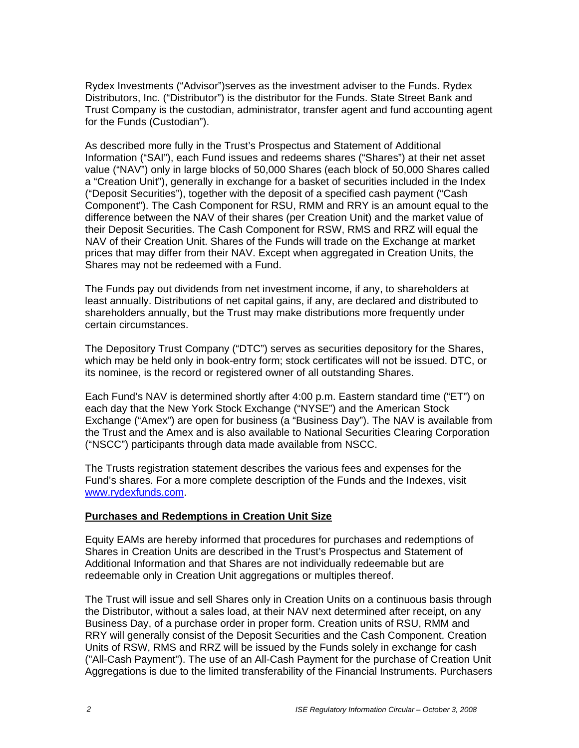Rydex Investments ("Advisor")serves as the investment adviser to the Funds. Rydex Distributors, Inc. ("Distributor") is the distributor for the Funds. State Street Bank and Trust Company is the custodian, administrator, transfer agent and fund accounting agent for the Funds (Custodian").

As described more fully in the Trust's Prospectus and Statement of Additional Information ("SAI"), each Fund issues and redeems shares ("Shares") at their net asset value ("NAV") only in large blocks of 50,000 Shares (each block of 50,000 Shares called a "Creation Unit"), generally in exchange for a basket of securities included in the Index ("Deposit Securities"), together with the deposit of a specified cash payment ("Cash Component"). The Cash Component for RSU, RMM and RRY is an amount equal to the difference between the NAV of their shares (per Creation Unit) and the market value of their Deposit Securities. The Cash Component for RSW, RMS and RRZ will equal the NAV of their Creation Unit. Shares of the Funds will trade on the Exchange at market prices that may differ from their NAV. Except when aggregated in Creation Units, the Shares may not be redeemed with a Fund.

The Funds pay out dividends from net investment income, if any, to shareholders at least annually. Distributions of net capital gains, if any, are declared and distributed to shareholders annually, but the Trust may make distributions more frequently under certain circumstances.

The Depository Trust Company ("DTC") serves as securities depository for the Shares, which may be held only in book-entry form; stock certificates will not be issued. DTC, or its nominee, is the record or registered owner of all outstanding Shares.

Each Fund's NAV is determined shortly after 4:00 p.m. Eastern standard time ("ET") on each day that the New York Stock Exchange ("NYSE") and the American Stock Exchange ("Amex") are open for business (a "Business Day"). The NAV is available from the Trust and the Amex and is also available to National Securities Clearing Corporation ("NSCC") participants through data made available from NSCC.

The Trusts registration statement describes the various fees and expenses for the Fund's shares. For a more complete description of the Funds and the Indexes, visit www.rydexfunds.com.

### **Purchases and Redemptions in Creation Unit Size**

Equity EAMs are hereby informed that procedures for purchases and redemptions of Shares in Creation Units are described in the Trust's Prospectus and Statement of Additional Information and that Shares are not individually redeemable but are redeemable only in Creation Unit aggregations or multiples thereof.

The Trust will issue and sell Shares only in Creation Units on a continuous basis through the Distributor, without a sales load, at their NAV next determined after receipt, on any Business Day, of a purchase order in proper form. Creation units of RSU, RMM and RRY will generally consist of the Deposit Securities and the Cash Component. Creation Units of RSW, RMS and RRZ will be issued by the Funds solely in exchange for cash ("All-Cash Payment"). The use of an All-Cash Payment for the purchase of Creation Unit Aggregations is due to the limited transferability of the Financial Instruments. Purchasers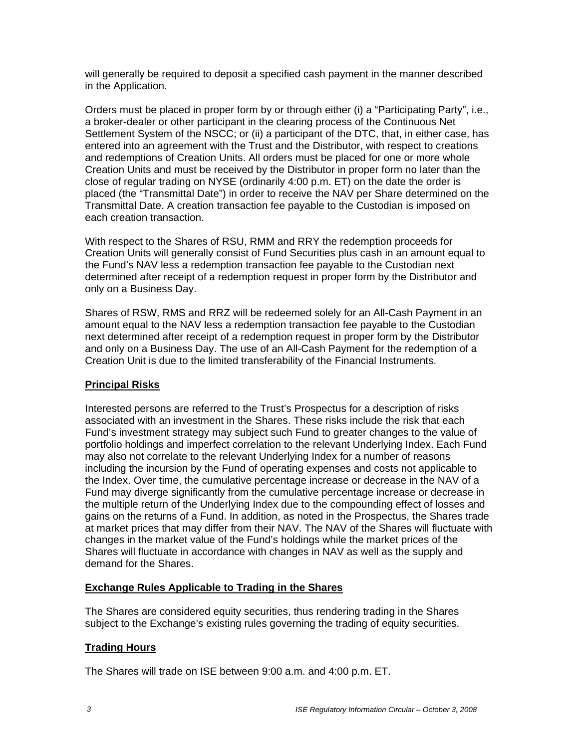will generally be required to deposit a specified cash payment in the manner described in the Application.

Orders must be placed in proper form by or through either (i) a "Participating Party", i.e., a broker-dealer or other participant in the clearing process of the Continuous Net Settlement System of the NSCC; or (ii) a participant of the DTC, that, in either case, has entered into an agreement with the Trust and the Distributor, with respect to creations and redemptions of Creation Units. All orders must be placed for one or more whole Creation Units and must be received by the Distributor in proper form no later than the close of regular trading on NYSE (ordinarily 4:00 p.m. ET) on the date the order is placed (the "Transmittal Date") in order to receive the NAV per Share determined on the Transmittal Date. A creation transaction fee payable to the Custodian is imposed on each creation transaction.

With respect to the Shares of RSU, RMM and RRY the redemption proceeds for Creation Units will generally consist of Fund Securities plus cash in an amount equal to the Fund's NAV less a redemption transaction fee payable to the Custodian next determined after receipt of a redemption request in proper form by the Distributor and only on a Business Day.

Shares of RSW, RMS and RRZ will be redeemed solely for an All-Cash Payment in an amount equal to the NAV less a redemption transaction fee payable to the Custodian next determined after receipt of a redemption request in proper form by the Distributor and only on a Business Day. The use of an All-Cash Payment for the redemption of a Creation Unit is due to the limited transferability of the Financial Instruments.

# **Principal Risks**

Interested persons are referred to the Trust's Prospectus for a description of risks associated with an investment in the Shares. These risks include the risk that each Fund's investment strategy may subject such Fund to greater changes to the value of portfolio holdings and imperfect correlation to the relevant Underlying Index. Each Fund may also not correlate to the relevant Underlying Index for a number of reasons including the incursion by the Fund of operating expenses and costs not applicable to the Index. Over time, the cumulative percentage increase or decrease in the NAV of a Fund may diverge significantly from the cumulative percentage increase or decrease in the multiple return of the Underlying Index due to the compounding effect of losses and gains on the returns of a Fund. In addition, as noted in the Prospectus, the Shares trade at market prices that may differ from their NAV. The NAV of the Shares will fluctuate with changes in the market value of the Fund's holdings while the market prices of the Shares will fluctuate in accordance with changes in NAV as well as the supply and demand for the Shares.

### **Exchange Rules Applicable to Trading in the Shares**

The Shares are considered equity securities, thus rendering trading in the Shares subject to the Exchange's existing rules governing the trading of equity securities.

### **Trading Hours**

The Shares will trade on ISE between 9:00 a.m. and 4:00 p.m. ET.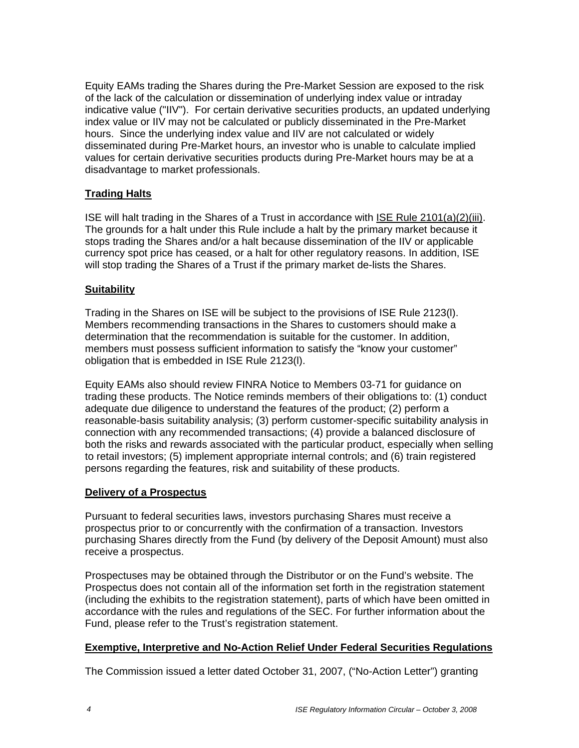Equity EAMs trading the Shares during the Pre-Market Session are exposed to the risk of the lack of the calculation or dissemination of underlying index value or intraday indicative value ("IIV"). For certain derivative securities products, an updated underlying index value or IIV may not be calculated or publicly disseminated in the Pre-Market hours. Since the underlying index value and IIV are not calculated or widely disseminated during Pre-Market hours, an investor who is unable to calculate implied values for certain derivative securities products during Pre-Market hours may be at a disadvantage to market professionals.

# **Trading Halts**

ISE will halt trading in the Shares of a Trust in accordance with ISE Rule 2101(a)(2)(iii). The grounds for a halt under this Rule include a halt by the primary market because it stops trading the Shares and/or a halt because dissemination of the IIV or applicable currency spot price has ceased, or a halt for other regulatory reasons. In addition, ISE will stop trading the Shares of a Trust if the primary market de-lists the Shares.

### **Suitability**

Trading in the Shares on ISE will be subject to the provisions of ISE Rule 2123(l). Members recommending transactions in the Shares to customers should make a determination that the recommendation is suitable for the customer. In addition, members must possess sufficient information to satisfy the "know your customer" obligation that is embedded in ISE Rule 2123(l).

Equity EAMs also should review FINRA Notice to Members 03-71 for guidance on trading these products. The Notice reminds members of their obligations to: (1) conduct adequate due diligence to understand the features of the product; (2) perform a reasonable-basis suitability analysis; (3) perform customer-specific suitability analysis in connection with any recommended transactions; (4) provide a balanced disclosure of both the risks and rewards associated with the particular product, especially when selling to retail investors; (5) implement appropriate internal controls; and (6) train registered persons regarding the features, risk and suitability of these products.

### **Delivery of a Prospectus**

Pursuant to federal securities laws, investors purchasing Shares must receive a prospectus prior to or concurrently with the confirmation of a transaction. Investors purchasing Shares directly from the Fund (by delivery of the Deposit Amount) must also receive a prospectus.

Prospectuses may be obtained through the Distributor or on the Fund's website. The Prospectus does not contain all of the information set forth in the registration statement (including the exhibits to the registration statement), parts of which have been omitted in accordance with the rules and regulations of the SEC. For further information about the Fund, please refer to the Trust's registration statement.

#### **Exemptive, Interpretive and No-Action Relief Under Federal Securities Regulations**

The Commission issued a letter dated October 31, 2007, ("No-Action Letter") granting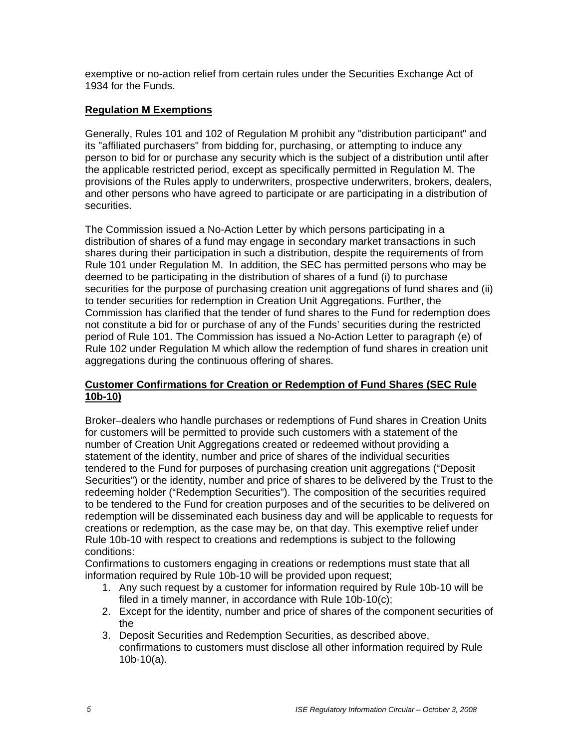exemptive or no-action relief from certain rules under the Securities Exchange Act of 1934 for the Funds.

# **Regulation M Exemptions**

Generally, Rules 101 and 102 of Regulation M prohibit any "distribution participant" and its "affiliated purchasers" from bidding for, purchasing, or attempting to induce any person to bid for or purchase any security which is the subject of a distribution until after the applicable restricted period, except as specifically permitted in Regulation M. The provisions of the Rules apply to underwriters, prospective underwriters, brokers, dealers, and other persons who have agreed to participate or are participating in a distribution of securities.

The Commission issued a No-Action Letter by which persons participating in a distribution of shares of a fund may engage in secondary market transactions in such shares during their participation in such a distribution, despite the requirements of from Rule 101 under Regulation M. In addition, the SEC has permitted persons who may be deemed to be participating in the distribution of shares of a fund (i) to purchase securities for the purpose of purchasing creation unit aggregations of fund shares and (ii) to tender securities for redemption in Creation Unit Aggregations. Further, the Commission has clarified that the tender of fund shares to the Fund for redemption does not constitute a bid for or purchase of any of the Funds' securities during the restricted period of Rule 101. The Commission has issued a No-Action Letter to paragraph (e) of Rule 102 under Regulation M which allow the redemption of fund shares in creation unit aggregations during the continuous offering of shares.

### **Customer Confirmations for Creation or Redemption of Fund Shares (SEC Rule 10b-10)**

Broker–dealers who handle purchases or redemptions of Fund shares in Creation Units for customers will be permitted to provide such customers with a statement of the number of Creation Unit Aggregations created or redeemed without providing a statement of the identity, number and price of shares of the individual securities tendered to the Fund for purposes of purchasing creation unit aggregations ("Deposit Securities") or the identity, number and price of shares to be delivered by the Trust to the redeeming holder ("Redemption Securities"). The composition of the securities required to be tendered to the Fund for creation purposes and of the securities to be delivered on redemption will be disseminated each business day and will be applicable to requests for creations or redemption, as the case may be, on that day. This exemptive relief under Rule 10b-10 with respect to creations and redemptions is subject to the following conditions:

Confirmations to customers engaging in creations or redemptions must state that all information required by Rule 10b-10 will be provided upon request;

- 1. Any such request by a customer for information required by Rule 10b-10 will be filed in a timely manner, in accordance with Rule 10b-10(c);
- 2. Except for the identity, number and price of shares of the component securities of the
- 3. Deposit Securities and Redemption Securities, as described above, confirmations to customers must disclose all other information required by Rule 10b-10(a).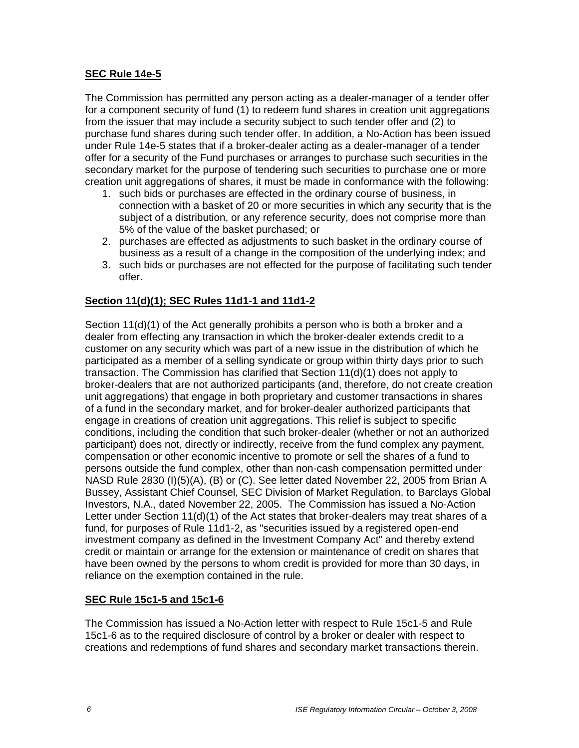### **SEC Rule 14e-5**

The Commission has permitted any person acting as a dealer-manager of a tender offer for a component security of fund (1) to redeem fund shares in creation unit aggregations from the issuer that may include a security subject to such tender offer and (2) to purchase fund shares during such tender offer. In addition, a No-Action has been issued under Rule 14e-5 states that if a broker-dealer acting as a dealer-manager of a tender offer for a security of the Fund purchases or arranges to purchase such securities in the secondary market for the purpose of tendering such securities to purchase one or more creation unit aggregations of shares, it must be made in conformance with the following:

- 1. such bids or purchases are effected in the ordinary course of business, in connection with a basket of 20 or more securities in which any security that is the subject of a distribution, or any reference security, does not comprise more than 5% of the value of the basket purchased; or
- 2. purchases are effected as adjustments to such basket in the ordinary course of business as a result of a change in the composition of the underlying index; and
- 3. such bids or purchases are not effected for the purpose of facilitating such tender offer.

# **Section 11(d)(1); SEC Rules 11d1-1 and 11d1-2**

Section 11(d)(1) of the Act generally prohibits a person who is both a broker and a dealer from effecting any transaction in which the broker-dealer extends credit to a customer on any security which was part of a new issue in the distribution of which he participated as a member of a selling syndicate or group within thirty days prior to such transaction. The Commission has clarified that Section 11(d)(1) does not apply to broker-dealers that are not authorized participants (and, therefore, do not create creation unit aggregations) that engage in both proprietary and customer transactions in shares of a fund in the secondary market, and for broker-dealer authorized participants that engage in creations of creation unit aggregations. This relief is subject to specific conditions, including the condition that such broker-dealer (whether or not an authorized participant) does not, directly or indirectly, receive from the fund complex any payment, compensation or other economic incentive to promote or sell the shares of a fund to persons outside the fund complex, other than non-cash compensation permitted under NASD Rule 2830 (I)(5)(A), (B) or (C). See letter dated November 22, 2005 from Brian A Bussey, Assistant Chief Counsel, SEC Division of Market Regulation, to Barclays Global Investors, N.A., dated November 22, 2005. The Commission has issued a No-Action Letter under Section 11(d)(1) of the Act states that broker-dealers may treat shares of a fund, for purposes of Rule 11d1-2, as "securities issued by a registered open-end investment company as defined in the Investment Company Act" and thereby extend credit or maintain or arrange for the extension or maintenance of credit on shares that have been owned by the persons to whom credit is provided for more than 30 days, in reliance on the exemption contained in the rule.

### **SEC Rule 15c1-5 and 15c1-6**

The Commission has issued a No-Action letter with respect to Rule 15c1-5 and Rule 15c1-6 as to the required disclosure of control by a broker or dealer with respect to creations and redemptions of fund shares and secondary market transactions therein.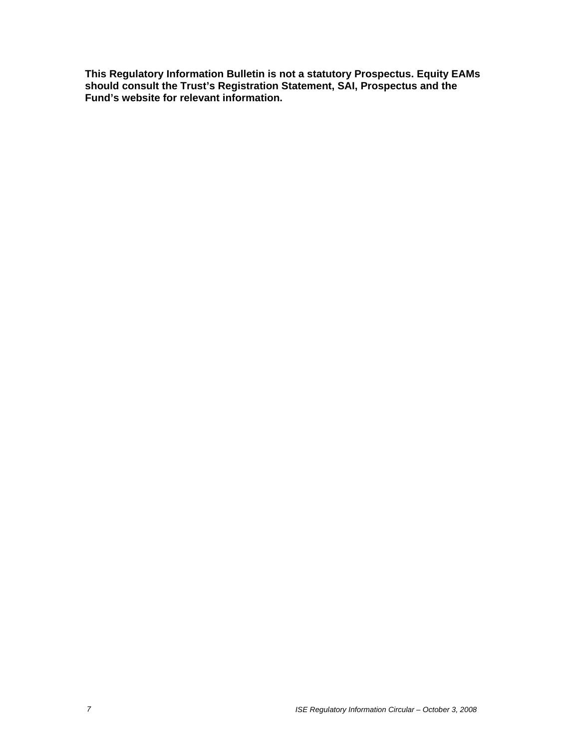**This Regulatory Information Bulletin is not a statutory Prospectus. Equity EAMs should consult the Trust's Registration Statement, SAI, Prospectus and the Fund's website for relevant information.**